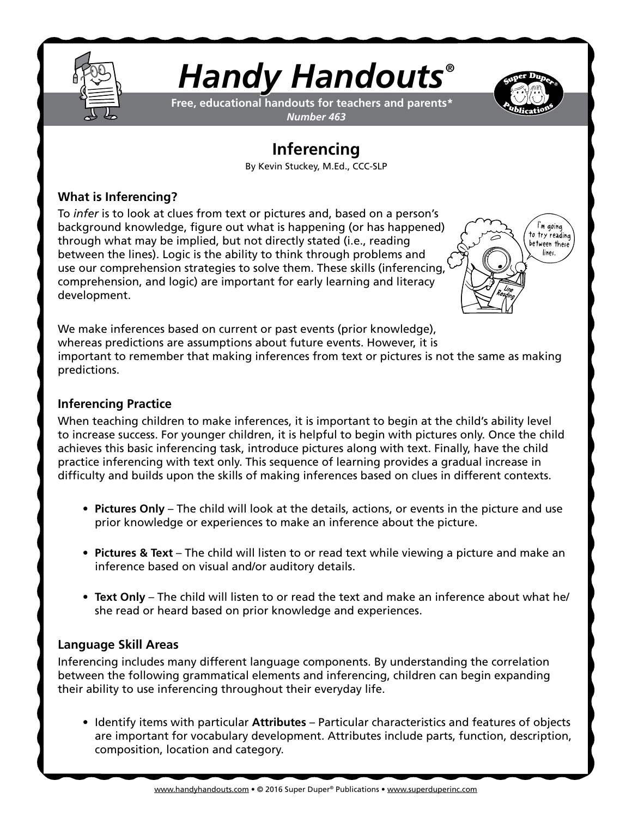

# *Handy Handouts®*

**Free, educational handouts for teachers and parents\*** *Number 463*

## **Inferencing**

By Kevin Stuckey, M.Ed., CCC-SLP

#### **What is Inferencing?**

To *infer* is to look at clues from text or pictures and, based on a person's background knowledge, figure out what is happening (or has happened) through what may be implied, but not directly stated (i.e., reading between the lines). Logic is the ability to think through problems and use our comprehension strategies to solve them. These skills (inferencing, comprehension, and logic) are important for early learning and literacy development.



We make inferences based on current or past events (prior knowledge), whereas predictions are assumptions about future events. However, it is important to remember that making inferences from text or pictures is not the same as making predictions.

#### **Inferencing Practice**

When teaching children to make inferences, it is important to begin at the child's ability level to increase success. For younger children, it is helpful to begin with pictures only. Once the child achieves this basic inferencing task, introduce pictures along with text. Finally, have the child practice inferencing with text only. This sequence of learning provides a gradual increase in difficulty and builds upon the skills of making inferences based on clues in different contexts.

- **• Pictures Only** The child will look at the details, actions, or events in the picture and use prior knowledge or experiences to make an inference about the picture.
- **• Pictures & Text** The child will listen to or read text while viewing a picture and make an inference based on visual and/or auditory details.
- **• Text Only** The child will listen to or read the text and make an inference about what he/ she read or heard based on prior knowledge and experiences.

#### **Language Skill Areas**

Inferencing includes many different language components. By understanding the correlation between the following grammatical elements and inferencing, children can begin expanding their ability to use inferencing throughout their everyday life.

• Identify items with particular **Attributes** – Particular characteristics and features of objects are important for vocabulary development. Attributes include parts, function, description, composition, location and category.